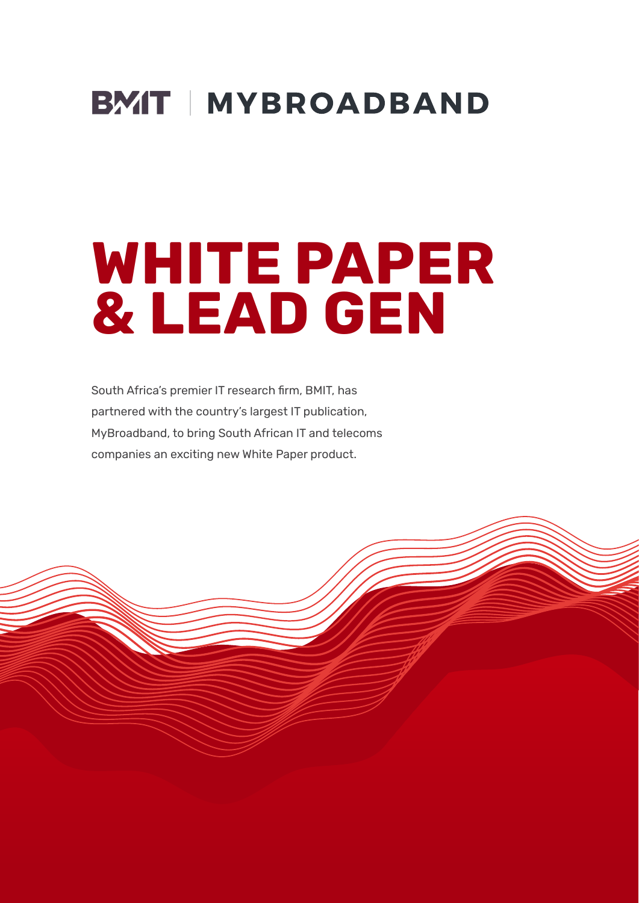

# **WHITE PAPER & LEAD GEN**

South Africa's premier IT research firm, BMIT, has partnered with the country's largest IT publication, MyBroadband, to bring South African IT and telecoms companies an exciting new White Paper product.

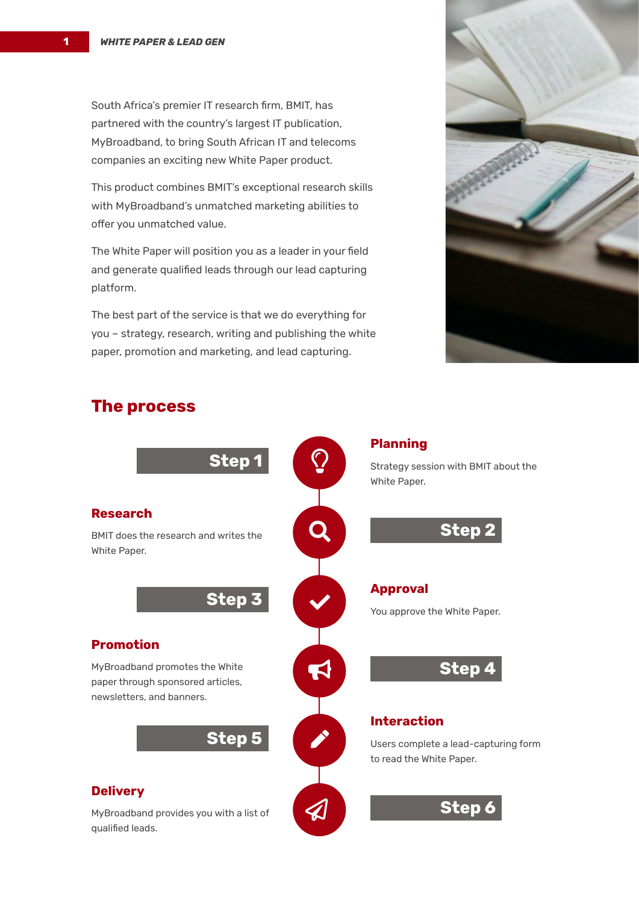South Africa's premier IT research firm, BMIT, has partnered with the country's largest IT publication, MyBroadband, to bring South African IT and telecoms companies an exciting new White Paper product.

This product combines BMIT's exceptional research skills with MyBroadband's unmatched marketing abilities to offer you unmatched value.

The White Paper will position you as a leader in your field and generate qualified leads through our lead capturing platform.

The best part of the service is that we do everything for you – strategy, research, writing and publishing the white paper, promotion and marketing, and lead capturing.



#### **The process**